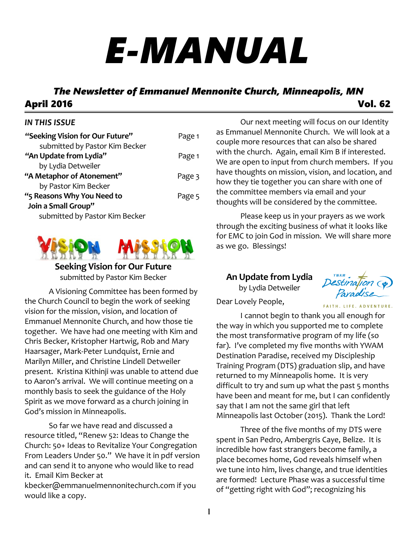# *E-MANUAL*

# *The Newsletter of Emmanuel Mennonite Church, Minneapolis, MN* April 2016 Vol. 62

#### *IN THIS ISSUE*

| "Seeking Vision for Our Future"                          | Page 1 |
|----------------------------------------------------------|--------|
| submitted by Pastor Kim Becker<br>"An Update from Lydia" | Page 1 |
| by Lydia Detweiler                                       |        |
| "A Metaphor of Atonement"                                | Page 3 |
| by Pastor Kim Becker                                     |        |
| "5 Reasons Why You Need to                               | Page 5 |
| Join a Small Group"                                      |        |
| submitted by Pastor Kim Becker                           |        |



**Seeking Vision for Our Future** submitted by Pastor Kim Becker

A Visioning Committee has been formed by the Church Council to begin the work of seeking vision for the mission, vision, and location of Emmanuel Mennonite Church, and how those tie together. We have had one meeting with Kim and Chris Becker, Kristopher Hartwig, Rob and Mary Haarsager, Mark-Peter Lundquist, Ernie and Marilyn Miller, and Christine Lindell Detweiler present. Kristina Kithinji was unable to attend due to Aaron's arrival. We will continue meeting on a monthly basis to seek the guidance of the Holy Spirit as we move forward as a church joining in God's mission in Minneapolis.

So far we have read and discussed a resource titled, "Renew 52: Ideas to Change the Church: 50+ Ideas to Revitalize Your Congregation From Leaders Under 50." We have it in pdf version and can send it to anyone who would like to read it. Email Kim Becker at kbecker@emmanuelmennonitechurch.com if you would like a copy.

Our next meeting will focus on our Identity as Emmanuel Mennonite Church. We will look at a couple more resources that can also be shared with the church. Again, email Kim B if interested. We are open to input from church members. If you have thoughts on mission, vision, and location, and how they tie together you can share with one of the committee members via email and your thoughts will be considered by the committee.

Please keep us in your prayers as we work through the exciting business of what it looks like for EMC to join God in mission. We will share more as we go. Blessings!

## **An Update from Lydia**

by Lydia Detweiler



FAITH. LIFE. ADVENTURE.

Dear Lovely People,

I cannot begin to thank you all enough for the way in which you supported me to complete the most transformative program of my life (so far). I've completed my five months with YWAM Destination Paradise, received my Discipleship Training Program (DTS) graduation slip, and have returned to my Minneapolis home. It is very difficult to try and sum up what the past 5 months have been and meant for me, but I can confidently say that I am not the same girl that left Minneapolis last October (2015). Thank the Lord!

Three of the five months of my DTS were spent in San Pedro, Ambergris Caye, Belize. It is incredible how fast strangers become family, a place becomes home, God reveals himself when we tune into him, lives change, and true identities are formed! Lecture Phase was a successful time of "getting right with God"; recognizing his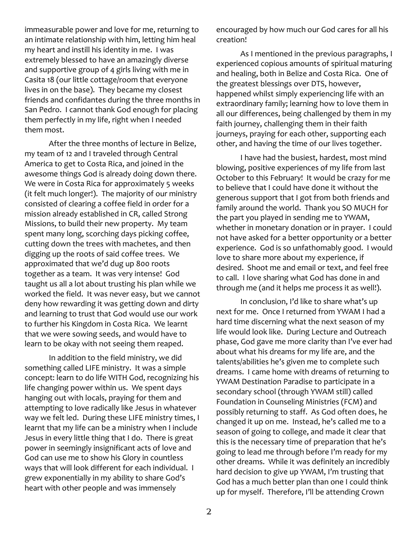immeasurable power and love for me, returning to an intimate relationship with him, letting him heal my heart and instill his identity in me. I was extremely blessed to have an amazingly diverse and supportive group of 4 girls living with me in Casita 18 (our little cottage/room that everyone lives in on the base). They became my closest friends and confidantes during the three months in San Pedro. I cannot thank God enough for placing them perfectly in my life, right when I needed them most.

After the three months of lecture in Belize, my team of 12 and I traveled through Central America to get to Costa Rica, and joined in the awesome things God is already doing down there. We were in Costa Rica for approximately 5 weeks (it felt much longer!). The majority of our ministry consisted of clearing a coffee field in order for a mission already established in CR, called Strong Missions, to build their new property. My team spent many long, scorching days picking coffee, cutting down the trees with machetes, and then digging up the roots of said coffee trees. We approximated that we'd dug up 800 roots together as a team. It was very intense! God taught us all a lot about trusting his plan while we worked the field. It was never easy, but we cannot deny how rewarding it was getting down and dirty and learning to trust that God would use our work to further his Kingdom in Costa Rica. We learnt that we were sowing seeds, and would have to learn to be okay with not seeing them reaped.

In addition to the field ministry, we did something called LIFE ministry. It was a simple concept: learn to do life WITH God, recognizing his life changing power within us. We spent days hanging out with locals, praying for them and attempting to love radically like Jesus in whatever way we felt led. During these LIFE ministry times, I learnt that my life can be a ministry when I include Jesus in every little thing that I do. There is great power in seemingly insignificant acts of love and God can use me to show his Glory in countless ways that will look different for each individual. I grew exponentially in my ability to share God's heart with other people and was immensely

encouraged by how much our God cares for all his creation!

As I mentioned in the previous paragraphs, I experienced copious amounts of spiritual maturing and healing, both in Belize and Costa Rica. One of the greatest blessings over DTS, however, happened whilst simply experiencing life with an extraordinary family; learning how to love them in all our differences, being challenged by them in my faith journey, challenging them in their faith journeys, praying for each other, supporting each other, and having the time of our lives together.

I have had the busiest, hardest, most mind blowing, positive experiences of my life from last October to this February! It would be crazy for me to believe that I could have done it without the generous support that I got from both friends and family around the world. Thank you SO MUCH for the part you played in sending me to YWAM, whether in monetary donation or in prayer. I could not have asked for a better opportunity or a better experience. God is so unfathomably good. I would love to share more about my experience, if desired. Shoot me and email or text, and feel free to call. I love sharing what God has done in and through me (and it helps me process it as well!).

In conclusion, I'd like to share what's up next for me. Once I returned from YWAM I had a hard time discerning what the next season of my life would look like. During Lecture and Outreach phase, God gave me more clarity than I've ever had about what his dreams for my life are, and the talents/abilities he's given me to complete such dreams. I came home with dreams of returning to YWAM Destination Paradise to participate in a secondary school (through YWAM still) called Foundation in Counseling Ministries (FCM) and possibly returning to staff. As God often does, he changed it up on me. Instead, he's called me to a season of going to college, and made it clear that this is the necessary time of preparation that he's going to lead me through before I'm ready for my other dreams. While it was definitely an incredibly hard decision to give up YWAM, I'm trusting that God has a much better plan than one I could think up for myself. Therefore, I'll be attending Crown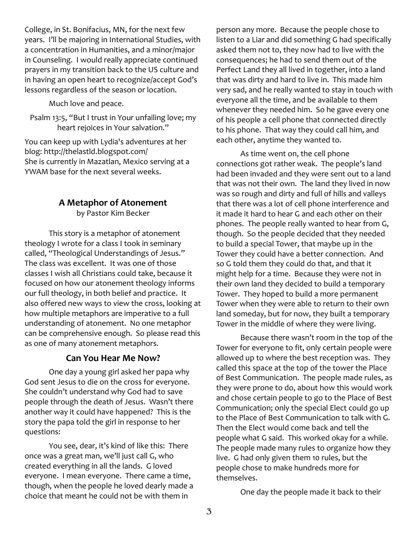College, in St. Bonifacius, MN, for the next few years. I'll be majoring in International Studies, with a concentration in Humanities, and a minor/major in Counseling. I would really appreciate continued prayers in my transition back to the US culture and in having an open heart to recognize/accept God's lessons regardless of the season or location.

Much love and peace.

Psalm 13:5, "But I trust in Your unfailing love; my heart rejoices in Your salvation."

You can keep up with Lydia's adventures at her blog: http://thelastld.blogspot.com/ She is currently in Mazatlan, Mexico serving at a YWAM base for the next several weeks.

#### **A Metaphor of Atonement**

by Pastor Kim Becker

This story is a metaphor of atonement theology I wrote for a class I took in seminary called, "Theological Understandings of Jesus." The class was excellent. It was one of those classes I wish all Christians could take, because it focused on how our atonement theology informs our full theology, in both belief and practice. It also offered new ways to view the cross, looking at how multiple metaphors are imperative to a full understanding of atonement. No one metaphor can be comprehensive enough. So please read this as one of many atonement metaphors.

#### **Can You Hear Me Now?**

One day a young girl asked her papa why God sent Jesus to die on the cross for everyone. She couldn't understand why God had to save people through the death of Jesus. Wasn't there another way it could have happened? This is the story the papa told the girl in response to her questions:

You see, dear, it's kind of like this: There once was a great man, we'll just call G, who created everything in all the lands. G loved everyone. I mean everyone. There came a time, though, when the people he loved dearly made a choice that meant he could not be with them in

person any more. Because the people chose to listen to a Liar and did something G had specifically asked them not to, they now had to live with the consequences; he had to send them out of the Perfect Land they all lived in together, into a land that was dirty and hard to live in. This made him very sad, and he really wanted to stay in touch with everyone all the time, and be available to them whenever they needed him. So he gave every one of his people a cell phone that connected directly to his phone. That way they could call him, and each other, anytime they wanted to.

As time went on, the cell phone connections got rather weak. The people's land had been invaded and they were sent out to a land that was not their own. The land they lived in now was so rough and dirty and full of hills and valleys that there was a lot of cell phone interference and it made it hard to hear G and each other on their phones. The people really wanted to hear from G, though. So the people decided that they needed to build a special Tower, that maybe up in the Tower they could have a better connection. And so G told them they could do that, and that it might help for a time. Because they were not in their own land they decided to build a temporary Tower. They hoped to build a more permanent Tower when they were able to return to their own land someday, but for now, they built a temporary Tower in the middle of where they were living.

Because there wasn't room in the top of the Tower for everyone to fit, only certain people were allowed up to where the best reception was. They called this space at the top of the tower the Place of Best Communication. The people made rules, as they were prone to do, about how this would work and chose certain people to go to the Place of Best Communication; only the special Elect could go up to the Place of Best Communication to talk with G. Then the Elect would come back and tell the people what G said. This worked okay for a while. The people made many rules to organize how they live. G had only given them 10 rules, but the people chose to make hundreds more for themselves.

One day the people made it back to their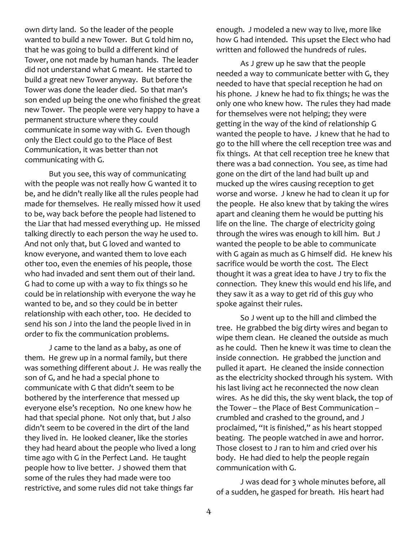own dirty land. So the leader of the people wanted to build a new Tower. But G told him no, that he was going to build a different kind of Tower, one not made by human hands. The leader did not understand what G meant. He started to build a great new Tower anyway. But before the Tower was done the leader died. So that man's son ended up being the one who finished the great new Tower. The people were very happy to have a permanent structure where they could communicate in some way with G. Even though only the Elect could go to the Place of Best Communication, it was better than not communicating with G.

But you see, this way of communicating with the people was not really how G wanted it to be, and he didn't really like all the rules people had made for themselves. He really missed how it used to be, way back before the people had listened to the Liar that had messed everything up. He missed talking directly to each person the way he used to. And not only that, but G loved and wanted to know everyone, and wanted them to love each other too, even the enemies of his people, those who had invaded and sent them out of their land. G had to come up with a way to fix things so he could be in relationship with everyone the way he wanted to be, and so they could be in better relationship with each other, too. He decided to send his son J into the land the people lived in in order to fix the communication problems.

J came to the land as a baby, as one of them. He grew up in a normal family, but there was something different about J. He was really the son of G, and he had a special phone to communicate with G that didn't seem to be bothered by the interference that messed up everyone else's reception. No one knew how he had that special phone. Not only that, but J also didn't seem to be covered in the dirt of the land they lived in. He looked cleaner, like the stories they had heard about the people who lived a long time ago with G in the Perfect Land. He taught people how to live better. J showed them that some of the rules they had made were too restrictive, and some rules did not take things far

enough. J modeled a new way to live, more like how G had intended. This upset the Elect who had written and followed the hundreds of rules.

As J grew up he saw that the people needed a way to communicate better with G, they needed to have that special reception he had on his phone. J knew he had to fix things; he was the only one who knew how. The rules they had made for themselves were not helping; they were getting in the way of the kind of relationship G wanted the people to have. J knew that he had to go to the hill where the cell reception tree was and fix things. At that cell reception tree he knew that there was a bad connection. You see, as time had gone on the dirt of the land had built up and mucked up the wires causing reception to get worse and worse. J knew he had to clean it up for the people. He also knew that by taking the wires apart and cleaning them he would be putting his life on the line. The charge of electricity going through the wires was enough to kill him. But J wanted the people to be able to communicate with G again as much as G himself did. He knew his sacrifice would be worth the cost. The Elect thought it was a great idea to have J try to fix the connection. They knew this would end his life, and they saw it as a way to get rid of this guy who spoke against their rules.

So J went up to the hill and climbed the tree. He grabbed the big dirty wires and began to wipe them clean. He cleaned the outside as much as he could. Then he knew it was time to clean the inside connection. He grabbed the junction and pulled it apart. He cleaned the inside connection as the electricity shocked through his system. With his last living act he reconnected the now clean wires. As he did this, the sky went black, the top of the Tower – the Place of Best Communication – crumbled and crashed to the ground, and J proclaimed, "It is finished," as his heart stopped beating. The people watched in awe and horror. Those closest to J ran to him and cried over his body. He had died to help the people regain communication with G.

J was dead for 3 whole minutes before, all of a sudden, he gasped for breath. His heart had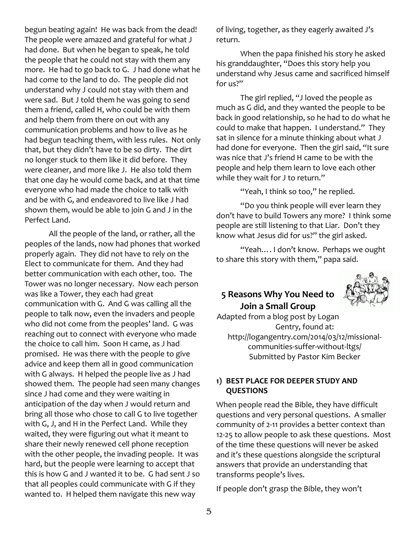begun beating again! He was back from the dead! The people were amazed and grateful for what J had done. But when he began to speak, he told the people that he could not stay with them any more. He had to go back to G. J had done what he had come to the land to do. The people did not understand why J could not stay with them and were sad. But J told them he was going to send them a friend, called H, who could be with them and help them from there on out with any communication problems and how to live as he had begun teaching them, with less rules. Not only that, but they didn't have to be so dirty. The dirt no longer stuck to them like it did before. They were cleaner, and more like J. He also told them that one day he would come back, and at that time everyone who had made the choice to talk with and be with G, and endeavored to live like J had shown them, would be able to join G and J in the Perfect Land.

All the people of the land, or rather, all the peoples of the lands, now had phones that worked properly again. They did not have to rely on the Elect to communicate for them. And they had better communication with each other, too. The Tower was no longer necessary. Now each person was like a Tower, they each had great communication with G. And G was calling all the people to talk now, even the invaders and people who did not come from the peoples' land. G was reaching out to connect with everyone who made the choice to call him. Soon H came, as J had promised. He was there with the people to give advice and keep them all in good communication with G always. H helped the people live as J had showed them. The people had seen many changes since J had come and they were waiting in anticipation of the day when J would return and bring all those who chose to call G to live together with G, J, and H in the Perfect Land. While they waited, they were figuring out what it meant to share their newly renewed cell phone reception with the other people, the invading people. It was hard, but the people were learning to accept that this is how G and J wanted it to be. G had sent J so that all peoples could communicate with G if they wanted to. H helped them navigate this new way

of living, together, as they eagerly awaited J's return.

When the papa finished his story he asked his granddaughter, "Does this story help you understand why Jesus came and sacrificed himself for us?"

The girl replied, "J loved the people as much as G did, and they wanted the people to be back in good relationship, so he had to do what he could to make that happen. I understand." They sat in silence for a minute thinking about what J had done for everyone. Then the girl said, "It sure was nice that J's friend H came to be with the people and help them learn to love each other while they wait for J to return."

"Yeah, I think so too," he replied.

"Do you think people will ever learn they don't have to build Towers any more? I think some people are still listening to that Liar. Don't they know what Jesus did for us?" the girl asked.

"Yeah…. I don't know. Perhaps we ought to share this story with them," papa said.

## **5 Reasons Why You Need to Join a Small Group**



Adapted from a blog post by Logan Gentry, found at: http://logangentry.com/2014/03/12/missionalcommunities-suffer-without-ltgs/ Submitted by Pastor Kim Becker

## **1) BEST PLACE FOR DEEPER STUDY AND QUESTIONS**

When people read the Bible, they have difficult questions and very personal questions. A smaller community of 2-11 provides a better context than 12-25 to allow people to ask these questions. Most of the time these questions will never be asked and it's these questions alongside the scriptural answers that provide an understanding that transforms people's lives.

If people don't grasp the Bible, they won't